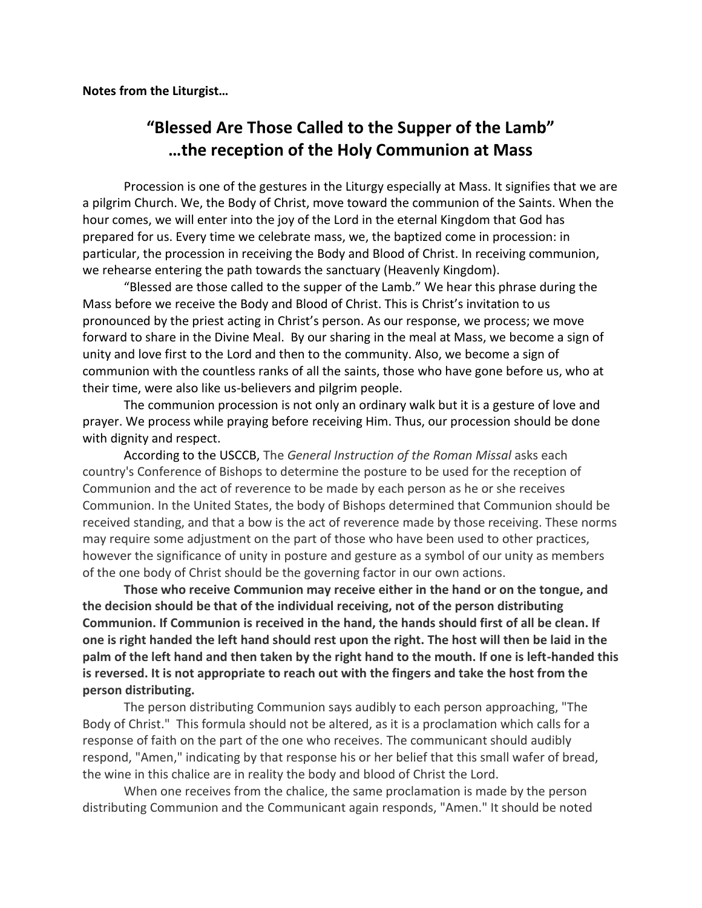**Notes from the Liturgist…**

## **"Blessed Are Those Called to the Supper of the Lamb" …the reception of the Holy Communion at Mass**

Procession is one of the gestures in the Liturgy especially at Mass. It signifies that we are a pilgrim Church. We, the Body of Christ, move toward the communion of the Saints. When the hour comes, we will enter into the joy of the Lord in the eternal Kingdom that God has prepared for us. Every time we celebrate mass, we, the baptized come in procession: in particular, the procession in receiving the Body and Blood of Christ. In receiving communion, we rehearse entering the path towards the sanctuary (Heavenly Kingdom).

"Blessed are those called to the supper of the Lamb." We hear this phrase during the Mass before we receive the Body and Blood of Christ. This is Christ's invitation to us pronounced by the priest acting in Christ's person. As our response, we process; we move forward to share in the Divine Meal. By our sharing in the meal at Mass, we become a sign of unity and love first to the Lord and then to the community. Also, we become a sign of communion with the countless ranks of all the saints, those who have gone before us, who at their time, were also like us-believers and pilgrim people.

The communion procession is not only an ordinary walk but it is a gesture of love and prayer. We process while praying before receiving Him. Thus, our procession should be done with dignity and respect.

According to the USCCB, The *General Instruction of the Roman Missal* asks each country's Conference of Bishops to determine the posture to be used for the reception of Communion and the act of reverence to be made by each person as he or she receives Communion. In the United States, the body of Bishops determined that Communion should be received standing, and that a bow is the act of reverence made by those receiving. These norms may require some adjustment on the part of those who have been used to other practices, however the significance of unity in posture and gesture as a symbol of our unity as members of the one body of Christ should be the governing factor in our own actions.

**Those who receive Communion may receive either in the hand or on the tongue, and the decision should be that of the individual receiving, not of the person distributing Communion. If Communion is received in the hand, the hands should first of all be clean. If one is right handed the left hand should rest upon the right. The host will then be laid in the palm of the left hand and then taken by the right hand to the mouth. If one is left-handed this is reversed. It is not appropriate to reach out with the fingers and take the host from the person distributing.**

The person distributing Communion says audibly to each person approaching, "The Body of Christ." This formula should not be altered, as it is a proclamation which calls for a response of faith on the part of the one who receives. The communicant should audibly respond, "Amen," indicating by that response his or her belief that this small wafer of bread, the wine in this chalice are in reality the body and blood of Christ the Lord.

When one receives from the chalice, the same proclamation is made by the person distributing Communion and the Communicant again responds, "Amen." It should be noted